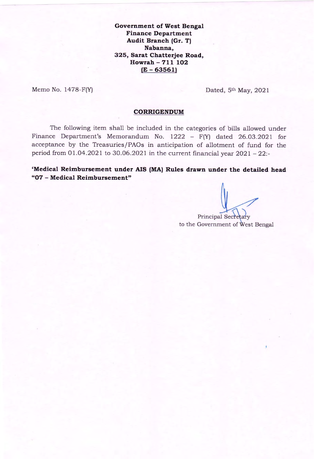**Government of West Bengal Finance Department** Audit Branch (Gr. T) Nabanna, 325, Sarat Chatterjee Road, Howrah - 711 102  $(E - 63561)$ 

Memo No. 1478-F(Y)

Dated, 5th May, 2021

## **CORRIGENDUM**

The following item shall be included in the categories of bills allowed under Finance Department's Memorandum No.  $1222 - F(Y)$  dated 26.03.2021 for acceptance by the Treasuries/PAOs in anticipation of allotment of fund for the period from  $01.04.2021$  to  $30.06.2021$  in the current financial year  $2021 - 22$ :-

'Medical Reimbursement under AIS (MA) Rules drawn under the detailed head "07 - Medical Reimbursement"

Principal Secretary to the Government of West Bengal